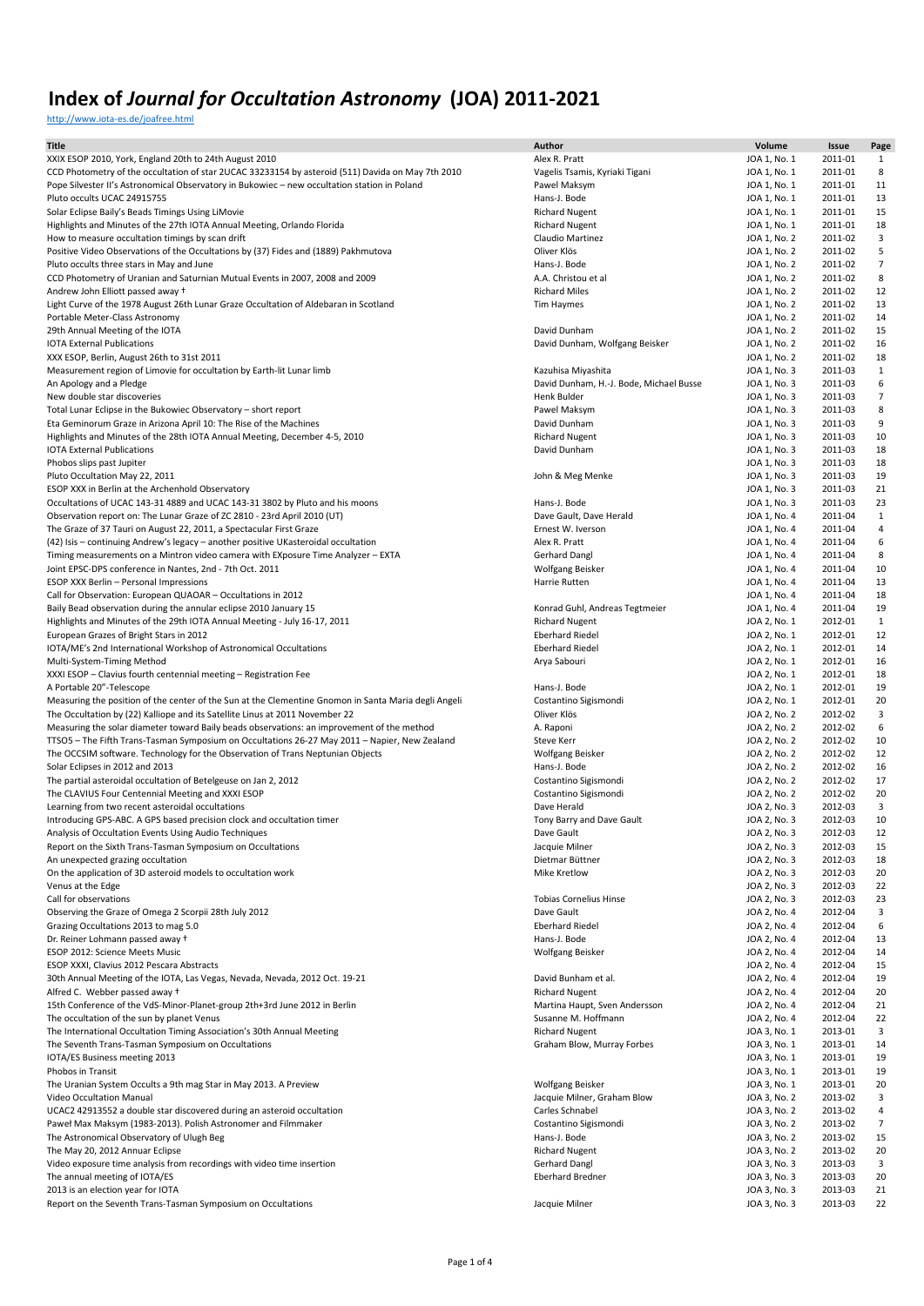<http://www.iota-es.de/joafree.html>

| <b>Title</b>                                                                                                                                                               | Author                                         | Volume                       | Issue              | Page           |
|----------------------------------------------------------------------------------------------------------------------------------------------------------------------------|------------------------------------------------|------------------------------|--------------------|----------------|
| XXIX ESOP 2010, York, England 20th to 24th August 2010                                                                                                                     | Alex R. Pratt                                  | JOA 1, No. 1                 | 2011-01            | 1              |
| CCD Photometry of the occultation of star 2UCAC 33233154 by asteroid (511) Davida on May 7th 2010                                                                          | Vagelis Tsamis, Kyriaki Tigani                 | JOA 1, No. 1                 | 2011-01            | 8              |
| Pope Silvester II's Astronomical Observatory in Bukowiec - new occultation station in Poland                                                                               | Pawel Maksym                                   | JOA 1, No. 1                 | 2011-01            | 11             |
| Pluto occults UCAC 24915755                                                                                                                                                | Hans-J. Bode                                   | JOA 1, No. 1                 | 2011-01            | 13             |
| Solar Eclipse Baily's Beads Timings Using LiMovie                                                                                                                          | <b>Richard Nugent</b>                          | JOA 1, No. 1                 | 2011-01            | 15             |
| Highlights and Minutes of the 27th IOTA Annual Meeting, Orlando Florida                                                                                                    | <b>Richard Nugent</b>                          | JOA 1, No. 1                 | 2011-01            | 18             |
| How to measure occultation timings by scan drift                                                                                                                           | Claudio Martinez                               | JOA 1, No. 2                 | 2011-02            | 3              |
| Positive Video Observations of the Occultations by (37) Fides and (1889) Pakhmutova                                                                                        | Oliver Klös                                    | JOA 1, No. 2                 | 2011-02            | 5              |
| Pluto occults three stars in May and June                                                                                                                                  | Hans-J. Bode                                   | JOA 1, No. 2                 | 2011-02            | $\overline{7}$ |
| CCD Photometry of Uranian and Saturnian Mutual Events in 2007, 2008 and 2009                                                                                               | A.A. Christou et al                            | JOA 1, No. 2                 | 2011-02            | 8              |
| Andrew John Elliott passed away +                                                                                                                                          | <b>Richard Miles</b>                           | JOA 1, No. 2                 | 2011-02            | 12             |
| Light Curve of the 1978 August 26th Lunar Graze Occultation of Aldebaran in Scotland                                                                                       | Tim Haymes                                     | JOA 1, No. 2                 | 2011-02            | 13             |
| Portable Meter-Class Astronomy                                                                                                                                             |                                                | JOA 1, No. 2                 | 2011-02            | 14             |
| 29th Annual Meeting of the IOTA                                                                                                                                            | David Dunham                                   | JOA 1, No. 2                 | 2011-02            | 15             |
| <b>IOTA External Publications</b>                                                                                                                                          | David Dunham, Wolfgang Beisker                 | JOA 1, No. 2                 | 2011-02            | 16             |
| XXX ESOP, Berlin, August 26th to 31st 2011                                                                                                                                 |                                                | JOA 1, No. 2                 | 2011-02            | 18             |
| Measurement region of Limovie for occultation by Earth-lit Lunar limb                                                                                                      | Kazuhisa Miyashita                             | JOA 1, No. 3                 | 2011-03            | 1              |
| An Apology and a Pledge                                                                                                                                                    | David Dunham, H.-J. Bode, Michael Busse        | JOA 1, No. 3                 | 2011-03            | 6              |
| New double star discoveries                                                                                                                                                | Henk Bulder                                    | JOA 1, No. 3                 | 2011-03            | $\overline{7}$ |
| Total Lunar Eclipse in the Bukowiec Observatory - short report                                                                                                             | Pawel Maksym                                   | JOA 1, No. 3                 | 2011-03            | 8              |
| Eta Geminorum Graze in Arizona April 10: The Rise of the Machines                                                                                                          | David Dunham                                   | JOA 1, No. 3                 | 2011-03            | 9              |
| Highlights and Minutes of the 28th IOTA Annual Meeting, December 4-5, 2010                                                                                                 | <b>Richard Nugent</b>                          | JOA 1, No. 3                 | 2011-03            | 10             |
| <b>IOTA External Publications</b>                                                                                                                                          | David Dunham                                   | JOA 1, No. 3                 | 2011-03            | 18             |
| Phobos slips past Jupiter                                                                                                                                                  |                                                | JOA 1, No. 3                 | 2011-03            | 18             |
| Pluto Occultation May 22, 2011                                                                                                                                             | John & Meg Menke                               | JOA 1, No. 3                 | 2011-03            | 19             |
| ESOP XXX in Berlin at the Archenhold Observatory                                                                                                                           |                                                | JOA 1, No. 3                 | 2011-03            | 21             |
| Occultations of UCAC 143-31 4889 and UCAC 143-31 3802 by Pluto and his moons                                                                                               | Hans-J. Bode                                   | JOA 1, No. 3                 | 2011-03            | 23             |
| Observation report on: The Lunar Graze of ZC 2810 - 23rd April 2010 (UT)                                                                                                   | Dave Gault, Dave Herald                        | JOA 1, No. 4                 | 2011-04            | $\mathbf{1}$   |
| The Graze of 37 Tauri on August 22, 2011, a Spectacular First Graze                                                                                                        | Ernest W. Iverson                              | JOA 1, No. 4                 | 2011-04            | 4              |
| (42) Isis - continuing Andrew's legacy - another positive UKasteroidal occultation                                                                                         | Alex R. Pratt                                  | JOA 1, No. 4                 | 2011-04            | 6              |
| Timing measurements on a Mintron video camera with EXposure Time Analyzer - EXTA                                                                                           | Gerhard Dangl                                  | JOA 1, No. 4                 | 2011-04            | 8              |
| Joint EPSC-DPS conference in Nantes, 2nd - 7th Oct. 2011                                                                                                                   | Wolfgang Beisker                               | JOA 1, No. 4                 | 2011-04            | 10             |
| ESOP XXX Berlin - Personal Impressions                                                                                                                                     | Harrie Rutten                                  | JOA 1, No. 4                 | 2011-04            | 13             |
| Call for Observation: European QUAOAR - Occultations in 2012                                                                                                               |                                                | JOA 1, No. 4                 | 2011-04            | 18             |
| Baily Bead observation during the annular eclipse 2010 January 15                                                                                                          | Konrad Guhl, Andreas Tegtmeier                 | JOA 1, No. 4                 | 2011-04            | 19             |
| Highlights and Minutes of the 29th IOTA Annual Meeting - July 16-17, 2011                                                                                                  | <b>Richard Nugent</b>                          | JOA 2, No. 1                 | 2012-01            | $\mathbf{1}$   |
| European Grazes of Bright Stars in 2012                                                                                                                                    | <b>Eberhard Riedel</b>                         | JOA 2, No. 1                 | 2012-01            | 12             |
| IOTA/ME's 2nd International Workshop of Astronomical Occultations                                                                                                          | <b>Eberhard Riedel</b>                         | JOA 2, No. 1                 | 2012-01            | 14             |
| Multi-System-Timing Method                                                                                                                                                 | Arya Sabouri                                   | JOA 2, No. 1                 | 2012-01            | 16             |
| XXXI ESOP - Clavius fourth centennial meeting - Registration Fee                                                                                                           |                                                | JOA 2, No. 1                 | 2012-01            | 18             |
| A Portable 20"-Telescope                                                                                                                                                   | Hans-J. Bode                                   | JOA 2, No. 1                 | 2012-01            | 19             |
| Measuring the position of the center of the Sun at the Clementine Gnomon in Santa Maria degli Angeli                                                                       | Costantino Sigismondi<br>Oliver Klös           | JOA 2, No. 1                 | 2012-01<br>2012-02 | 20<br>3        |
| The Occultation by (22) Kalliope and its Satellite Linus at 2011 November 22<br>Measuring the solar diameter toward Baily beads observations: an improvement of the method | A. Raponi                                      | JOA 2, No. 2<br>JOA 2, No. 2 | 2012-02            | 6              |
| TTSO5 - The Fifth Trans-Tasman Symposium on Occultations 26-27 May 2011 - Napier, New Zealand                                                                              | Steve Kerr                                     | JOA 2, No. 2                 | 2012-02            | 10             |
| The OCCSIM software. Technology for the Observation of Trans Neptunian Objects                                                                                             | Wolfgang Beisker                               | JOA 2, No. 2                 | 2012-02            | 12             |
| Solar Eclipses in 2012 and 2013                                                                                                                                            | Hans-J. Bode                                   | JOA 2, No. 2                 | 2012-02            | 16             |
| The partial asteroidal occultation of Betelgeuse on Jan 2, 2012                                                                                                            | Costantino Sigismondi                          | JOA 2, No. 2                 | 2012-02            | 17             |
| The CLAVIUS Four Centennial Meeting and XXXI ESOP                                                                                                                          | Costantino Sigismondi                          | JOA 2, No. 2                 | 2012-02            | 20             |
| Learning from two recent asteroidal occultations                                                                                                                           | Dave Herald                                    | JOA 2, No. 3                 | 2012-03            | 3              |
| Introducing GPS-ABC. A GPS based precision clock and occultation timer                                                                                                     | Tony Barry and Dave Gault                      | JOA 2, No. 3                 | 2012-03            | 10             |
| Analysis of Occultation Events Using Audio Techniques                                                                                                                      | Dave Gault                                     | JOA 2, No. 3                 | 2012-03            | 12             |
| Report on the Sixth Trans-Tasman Symposium on Occultations                                                                                                                 | Jacquie Milner                                 | JOA 2, No. 3                 | 2012-03            | 15             |
| An unexpected grazing occultation                                                                                                                                          | Dietmar Büttner                                | JOA 2, No. 3                 | 2012-03            | 18             |
| On the application of 3D asteroid models to occultation work                                                                                                               | Mike Kretlow                                   | JOA 2, No. 3                 | 2012-03            | 20             |
| Venus at the Edge                                                                                                                                                          |                                                | JOA 2, No. 3                 | 2012-03            | 22             |
| Call for observations                                                                                                                                                      | <b>Tobias Cornelius Hinse</b>                  | JOA 2, No. 3                 | 2012-03            | 23             |
| Observing the Graze of Omega 2 Scorpii 28th July 2012                                                                                                                      | Dave Gault                                     | JOA 2, No. 4                 | 2012-04            | 3              |
| Grazing Occultations 2013 to mag 5.0                                                                                                                                       | <b>Eberhard Riedel</b>                         | JOA 2, No. 4                 | 2012-04            | 6              |
| Dr. Reiner Lohmann passed away +                                                                                                                                           | Hans-J. Bode                                   | JOA 2, No. 4                 | 2012-04            | 13             |
| ESOP 2012: Science Meets Music                                                                                                                                             | Wolfgang Beisker                               | JOA 2, No. 4                 | 2012-04            | 14             |
| ESOP XXXI, Clavius 2012 Pescara Abstracts                                                                                                                                  |                                                | JOA 2, No. 4                 | 2012-04            | 15             |
| 30th Annual Meeting of the IOTA, Las Vegas, Nevada, Nevada, 2012 Oct. 19-21                                                                                                | David Bunham et al.                            | JOA 2, No. 4                 | 2012-04            | 19             |
| Alfred C. Webber passed away +                                                                                                                                             | <b>Richard Nugent</b>                          | JOA 2, No. 4                 | 2012-04            | 20             |
| 15th Conference of the VdS-Minor-Planet-group 2th+3rd June 2012 in Berlin                                                                                                  | Martina Haupt, Sven Andersson                  | JOA 2, No. 4                 | 2012-04            | 21             |
| The occultation of the sun by planet Venus                                                                                                                                 | Susanne M. Hoffmann                            | JOA 2, No. 4                 | 2012-04            | 22             |
| The International Occultation Timing Association's 30th Annual Meeting                                                                                                     | <b>Richard Nugent</b>                          | JOA 3, No. 1                 | 2013-01            | 3              |
| The Seventh Trans-Tasman Symposium on Occultations                                                                                                                         | Graham Blow, Murray Forbes                     | JOA 3, No. 1                 | 2013-01            | 14             |
| IOTA/ES Business meeting 2013                                                                                                                                              |                                                | JOA 3, No. 1                 | 2013-01            | 19             |
| Phobos in Transit                                                                                                                                                          |                                                | JOA 3, No. 1                 | 2013-01            | 19             |
| The Uranian System Occults a 9th mag Star in May 2013. A Preview                                                                                                           | Wolfgang Beisker                               | JOA 3, No. 1                 | 2013-01            | 20             |
| Video Occultation Manual<br>UCAC2 42913552 a double star discovered during an asteroid occultation                                                                         | Jacquie Milner, Graham Blow<br>Carles Schnabel | JOA 3, No. 2<br>JOA 3, No. 2 | 2013-02<br>2013-02 | 3<br>4         |
| Paweł Max Maksym (1983-2013). Polish Astronomer and Filmmaker                                                                                                              | Costantino Sigismondi                          | JOA 3, No. 2                 | 2013-02            | $\overline{7}$ |
| The Astronomical Observatory of Ulugh Beg                                                                                                                                  | Hans-J. Bode                                   | JOA 3, No. 2                 | 2013-02            | 15             |
| The May 20, 2012 Annuar Eclipse                                                                                                                                            | <b>Richard Nugent</b>                          | JOA 3, No. 2                 | 2013-02            | 20             |
| Video exposure time analysis from recordings with video time insertion                                                                                                     | Gerhard Dangl                                  | JOA 3, No. 3                 | 2013-03            | 3              |
| The annual meeting of IOTA/ES                                                                                                                                              | <b>Eberhard Bredner</b>                        | JOA 3, No. 3                 | 2013-03            | 20             |
| 2013 is an election year for IOTA                                                                                                                                          |                                                | JOA 3, No. 3                 | 2013-03            | 21             |
| Report on the Seventh Trans-Tasman Symposium on Occultations                                                                                                               | Jacquie Milner                                 | JOA 3, No. 3                 | 2013-03            | 22             |
|                                                                                                                                                                            |                                                |                              |                    |                |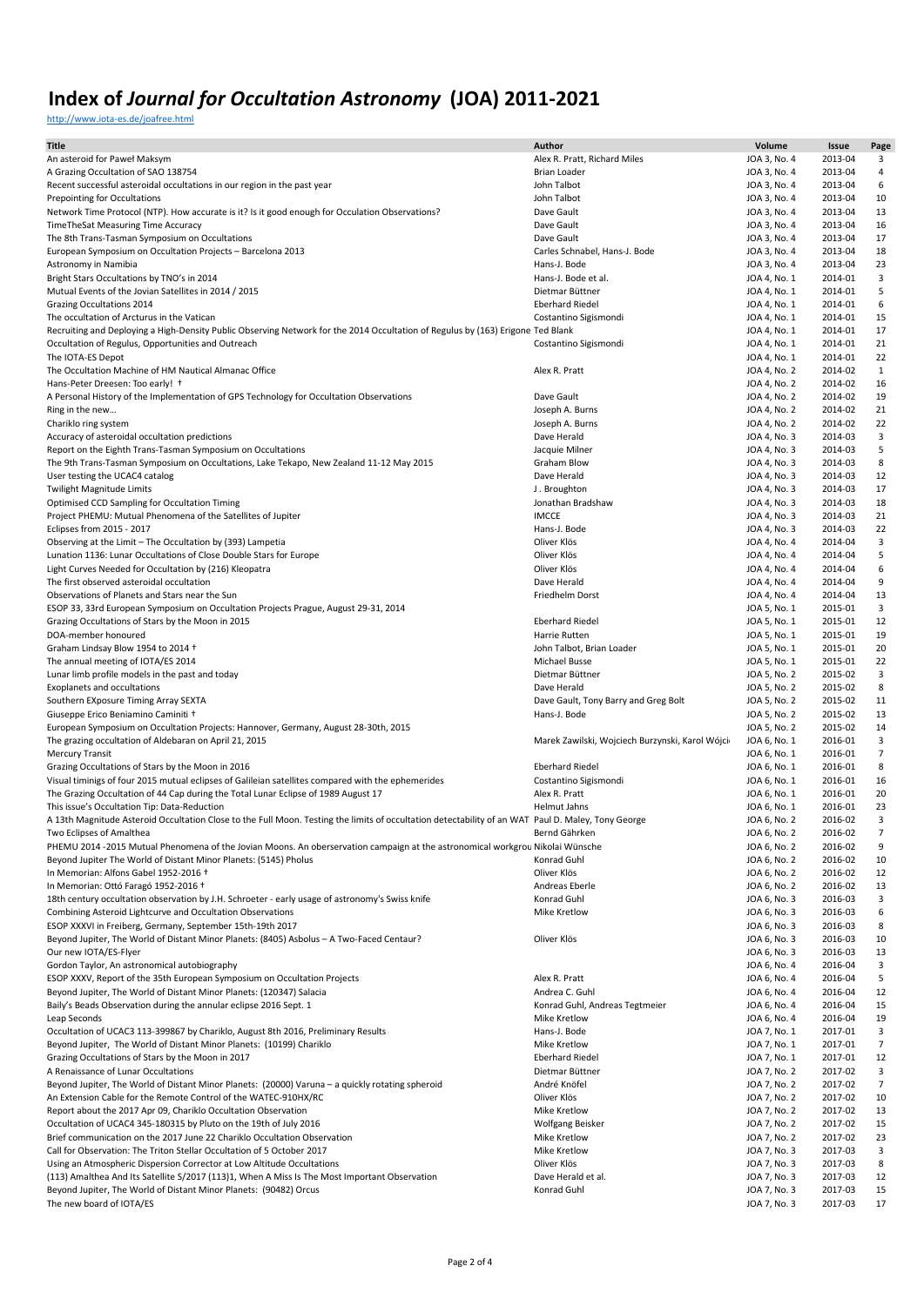<http://www.iota-es.de/joafree.html>

| <b>Title</b>                                                                                                                                       | Author                                          | Volume                       | Issue              | Page           |
|----------------------------------------------------------------------------------------------------------------------------------------------------|-------------------------------------------------|------------------------------|--------------------|----------------|
| An asteroid for Paweł Maksym                                                                                                                       | Alex R. Pratt, Richard Miles                    | JOA 3, No. 4                 | 2013-04            | 3              |
| A Grazing Occultation of SAO 138754                                                                                                                | <b>Brian Loader</b>                             | JOA 3, No. 4                 | 2013-04            | 4              |
| Recent successful asteroidal occultations in our region in the past year                                                                           | John Talbot                                     | JOA 3, No. 4                 | 2013-04            | 6              |
| Prepointing for Occultations                                                                                                                       | John Talbot                                     | JOA 3, No. 4                 | 2013-04            | 10             |
| Network Time Protocol (NTP). How accurate is it? Is it good enough for Occulation Observations?                                                    | Dave Gault                                      | JOA 3, No. 4                 | 2013-04            | 13             |
| TimeTheSat Measuring Time Accuracy                                                                                                                 | Dave Gault                                      | JOA 3, No. 4                 | 2013-04            | 16             |
| The 8th Trans-Tasman Symposium on Occultations                                                                                                     | Dave Gault                                      | JOA 3, No. 4                 | 2013-04            | 17             |
| European Symposium on Occultation Projects - Barcelona 2013                                                                                        | Carles Schnabel, Hans-J. Bode                   | JOA 3, No. 4                 | 2013-04            | 18             |
| Astronomy in Namibia                                                                                                                               | Hans-J. Bode                                    | JOA 3, No. 4                 | 2013-04            | 23             |
| Bright Stars Occultations by TNO's in 2014                                                                                                         | Hans-J. Bode et al.                             | JOA 4, No. 1                 | 2014-01            | 3              |
| Mutual Events of the Jovian Satellites in 2014 / 2015                                                                                              | Dietmar Büttner                                 | JOA 4, No. 1                 | 2014-01            | 5              |
| Grazing Occultations 2014                                                                                                                          | <b>Eberhard Riedel</b>                          | JOA 4, No. 1                 | 2014-01            | 6              |
| The occultation of Arcturus in the Vatican                                                                                                         | Costantino Sigismondi                           | JOA 4, No. 1                 | 2014-01            | 15             |
| Recruiting and Deploying a High-Density Public Observing Network for the 2014 Occultation of Regulus by (163) Erigone Ted Blank                    |                                                 | JOA 4, No. 1                 | 2014-01            | 17             |
| Occultation of Regulus, Opportunities and Outreach                                                                                                 | Costantino Sigismondi                           | JOA 4, No. 1                 | 2014-01<br>2014-01 | 21<br>22       |
| The IOTA-ES Depot<br>The Occultation Machine of HM Nautical Almanac Office                                                                         | Alex R. Pratt                                   | JOA 4, No. 1<br>JOA 4, No. 2 | 2014-02            | $\mathbf{1}$   |
| Hans-Peter Dreesen: Too early! +                                                                                                                   |                                                 | JOA 4, No. 2                 | 2014-02            | 16             |
| A Personal History of the Implementation of GPS Technology for Occultation Observations                                                            | Dave Gault                                      | JOA 4, No. 2                 | 2014-02            | 19             |
| Ring in the new                                                                                                                                    | Joseph A. Burns                                 | JOA 4, No. 2                 | 2014-02            | 21             |
| Chariklo ring system                                                                                                                               | Joseph A. Burns                                 | JOA 4, No. 2                 | 2014-02            | 22             |
| Accuracy of asteroidal occultation predictions                                                                                                     | Dave Herald                                     | JOA 4, No. 3                 | 2014-03            | 3              |
| Report on the Eighth Trans-Tasman Symposium on Occultations                                                                                        | Jacquie Milner                                  | JOA 4, No. 3                 | 2014-03            | 5              |
| The 9th Trans-Tasman Symposium on Occultations, Lake Tekapo, New Zealand 11-12 May 2015                                                            | Graham Blow                                     | JOA 4, No. 3                 | 2014-03            | 8              |
| User testing the UCAC4 catalog                                                                                                                     | Dave Herald                                     | JOA 4, No. 3                 | 2014-03            | 12             |
| <b>Twilight Magnitude Limits</b>                                                                                                                   | J. Broughton                                    | JOA 4, No. 3                 | 2014-03            | 17             |
| Optimised CCD Sampling for Occultation Timing                                                                                                      | Jonathan Bradshaw                               | JOA 4, No. 3                 | 2014-03            | 18             |
| Project PHEMU: Mutual Phenomena of the Satellites of Jupiter                                                                                       | <b>IMCCE</b>                                    | JOA 4, No. 3                 | 2014-03            | 21             |
| Eclipses from 2015 - 2017                                                                                                                          | Hans-J. Bode                                    | JOA 4, No. 3                 | 2014-03            | 22             |
| Observing at the Limit - The Occultation by (393) Lampetia                                                                                         | Oliver Klös                                     | JOA 4, No. 4                 | 2014-04            | 3              |
| Lunation 1136: Lunar Occultations of Close Double Stars for Europe                                                                                 | Oliver Klös                                     | JOA 4, No. 4                 | 2014-04            | 5              |
| Light Curves Needed for Occultation by (216) Kleopatra                                                                                             | Oliver Klös                                     | JOA 4, No. 4                 | 2014-04            | 6              |
| The first observed asteroidal occultation                                                                                                          | Dave Herald                                     | JOA 4, No. 4                 | 2014-04            | 9              |
| Observations of Planets and Stars near the Sun                                                                                                     | Friedhelm Dorst                                 | JOA 4, No. 4                 | 2014-04            | 13             |
| ESOP 33, 33rd European Symposium on Occultation Projects Prague, August 29-31, 2014                                                                |                                                 | JOA 5, No. 1                 | 2015-01            | 3              |
| Grazing Occultations of Stars by the Moon in 2015                                                                                                  | <b>Eberhard Riedel</b>                          | JOA 5, No. 1                 | 2015-01            | 12             |
| DOA-member honoured                                                                                                                                | Harrie Rutten                                   | JOA 5, No. 1                 | 2015-01            | 19             |
| Graham Lindsay Blow 1954 to 2014 +                                                                                                                 | John Talbot, Brian Loader                       | JOA 5, No. 1                 | 2015-01            | 20             |
| The annual meeting of IOTA/ES 2014                                                                                                                 | Michael Busse                                   | JOA 5, No. 1                 | 2015-01            | 22             |
| Lunar limb profile models in the past and today                                                                                                    | Dietmar Büttner                                 | JOA 5, No. 2                 | 2015-02            | 3              |
| Exoplanets and occultations                                                                                                                        | Dave Herald                                     | JOA 5, No. 2                 | 2015-02            | 8              |
| Southern EXposure Timing Array SEXTA                                                                                                               | Dave Gault, Tony Barry and Greg Bolt            | JOA 5, No. 2                 | 2015-02            | 11             |
| Giuseppe Erico Beniamino Caminiti +                                                                                                                | Hans-J. Bode                                    | JOA 5, No. 2                 | 2015-02            | 13             |
| European Symposium on Occultation Projects: Hannover, Germany, August 28-30th, 2015                                                                |                                                 | JOA 5, No. 2                 | 2015-02            | 14             |
| The grazing occultation of Aldebaran on April 21, 2015                                                                                             | Marek Zawilski, Wojciech Burzynski, Karol Wójci | JOA 6, No. 1                 | 2016-01            | 3              |
| <b>Mercury Transit</b>                                                                                                                             |                                                 | JOA 6, No. 1                 | 2016-01            | $\overline{7}$ |
| Grazing Occultations of Stars by the Moon in 2016                                                                                                  | <b>Eberhard Riedel</b>                          | JOA 6, No. 1                 | 2016-01            | 8              |
| Visual timinigs of four 2015 mutual eclipses of Galileian satellites compared with the ephemerides                                                 | Costantino Sigismondi                           | JOA 6, No. 1                 | 2016-01            | 16             |
| The Grazing Occultation of 44 Cap during the Total Lunar Eclipse of 1989 August 17                                                                 | Alex R. Pratt                                   | JOA 6, No. 1                 | 2016-01            | 20             |
| This issue's Occultation Tip: Data-Reduction                                                                                                       | <b>Helmut Jahns</b>                             | JOA 6, No. 1                 | 2016-01            | 23             |
| A 13th Magnitude Asteroid Occultation Close to the Full Moon. Testing the limits of occultation detectability of an WAT Paul D. Maley, Tony George |                                                 | JOA 6, No. 2                 | 2016-02            | 3              |
| Two Eclipses of Amalthea                                                                                                                           | Bernd Gährken                                   | JOA 6, No. 2                 | 2016-02            | 7              |
| PHEMU 2014 -2015 Mutual Phenomena of the Jovian Moons. An oberservation campaign at the astronomical workgrou Nikolai Wünsche                      |                                                 | JOA 6, No. 2                 | 2016-02            | 9              |
| Beyond Jupiter The World of Distant Minor Planets: (5145) Pholus                                                                                   | Konrad Guhl                                     | JOA 6, No. 2                 | 2016-02            | 10             |
| In Memorian: Alfons Gabel 1952-2016 +                                                                                                              | Oliver Klös                                     | JOA 6, No. 2                 | 2016-02            | 12             |
| In Memorian: Ottó Faragó 1952-2016 +                                                                                                               | Andreas Eberle                                  | JOA 6, No. 2                 | 2016-02            | 13             |
| 18th century occultation observation by J.H. Schroeter - early usage of astronomy's Swiss knife                                                    | Konrad Guhl                                     | JOA 6, No. 3                 | 2016-03            | 3              |
| Combining Asteroid Lightcurve and Occultation Observations                                                                                         | Mike Kretlow                                    | JOA 6, No. 3                 | 2016-03            | 6              |
| ESOP XXXVI in Freiberg, Germany, September 15th-19th 2017                                                                                          |                                                 | JOA 6, No. 3                 | 2016-03            | 8              |
| Beyond Jupiter, The World of Distant Minor Planets: (8405) Asbolus - A Two-Faced Centaur?                                                          | Oliver Klös                                     | JOA 6, No. 3                 | 2016-03            | 10             |
| Our new IOTA/ES-Flyer                                                                                                                              |                                                 | JOA 6, No. 3                 | 2016-03            | 13             |
| Gordon Taylor, An astronomical autobiography                                                                                                       |                                                 | JOA 6, No. 4                 | 2016-04            | 3              |
| ESOP XXXV, Report of the 35th European Symposium on Occultation Projects                                                                           | Alex R. Pratt                                   | JOA 6, No. 4                 | 2016-04            | 5              |
| Beyond Jupiter, The World of Distant Minor Planets: (120347) Salacia                                                                               | Andrea C. Guhl                                  | JOA 6, No. 4                 | 2016-04            | 12             |
| Baily's Beads Observation during the annular eclipse 2016 Sept. 1                                                                                  | Konrad Guhl, Andreas Tegtmeier                  | JOA 6, No. 4                 | 2016-04            | 15             |
| Leap Seconds                                                                                                                                       | Mike Kretlow                                    | JOA 6, No. 4                 | 2016-04            | 19             |
| Occultation of UCAC3 113-399867 by Chariklo, August 8th 2016, Preliminary Results                                                                  | Hans-J. Bode                                    | JOA 7, No. 1                 | 2017-01            | 3              |
| Beyond Jupiter, The World of Distant Minor Planets: (10199) Chariklo                                                                               | Mike Kretlow                                    | JOA 7, No. 1                 | 2017-01            | $\overline{7}$ |
| Grazing Occultations of Stars by the Moon in 2017                                                                                                  | <b>Eberhard Riedel</b>                          | JOA 7, No. 1                 | 2017-01            | 12             |
| A Renaissance of Lunar Occultations                                                                                                                | Dietmar Büttner                                 | JOA 7, No. 2                 | 2017-02            | 3              |
| Beyond Jupiter, The World of Distant Minor Planets: (20000) Varuna - a quickly rotating spheroid                                                   | André Knöfel                                    | JOA 7, No. 2                 | 2017-02            | $\overline{7}$ |
| An Extension Cable for the Remote Control of the WATEC-910HX/RC                                                                                    | Oliver Klös                                     | JOA 7, No. 2                 | 2017-02            | 10             |
| Report about the 2017 Apr 09, Chariklo Occultation Observation                                                                                     | Mike Kretlow                                    | JOA 7, No. 2                 | 2017-02            | 13             |
| Occultation of UCAC4 345-180315 by Pluto on the 19th of July 2016                                                                                  | Wolfgang Beisker                                | JOA 7, No. 2                 | 2017-02            | 15             |
| Brief communication on the 2017 June 22 Chariklo Occultation Observation                                                                           | Mike Kretlow                                    | JOA 7, No. 2                 | 2017-02            | 23             |
| Call for Observation: The Triton Stellar Occultation of 5 October 2017                                                                             | Mike Kretlow                                    | JOA 7, No. 3                 | 2017-03            | 3              |
| Using an Atmospheric Dispersion Corrector at Low Altitude Occultations                                                                             | Oliver Klös                                     | JOA 7, No. 3                 | 2017-03            | 8              |
| (113) Amalthea And Its Satellite S/2017 (113)1, When A Miss Is The Most Important Observation                                                      | Dave Herald et al.                              | JOA 7, No. 3                 | 2017-03            | 12             |
| Beyond Jupiter, The World of Distant Minor Planets: (90482) Orcus                                                                                  | Konrad Guhl                                     | JOA 7, No. 3                 | 2017-03            | 15             |
| The new board of IOTA/ES                                                                                                                           |                                                 | JOA 7, No. 3                 | 2017-03            | 17             |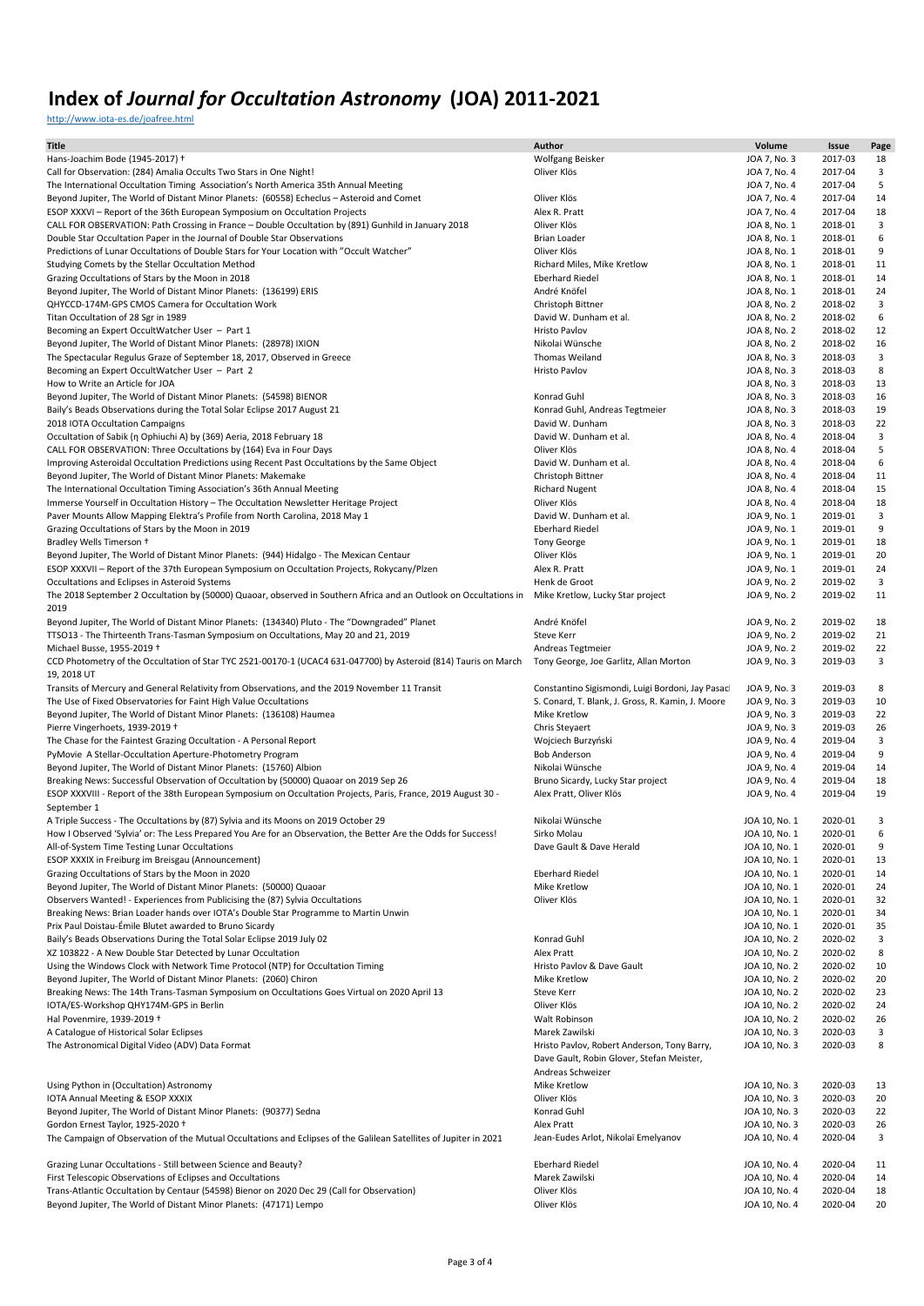<http://www.iota-es.de/joafree.html>

| <b>Title</b>                                                                                                                                       | Author                                            | Volume        | Issue   | Page |
|----------------------------------------------------------------------------------------------------------------------------------------------------|---------------------------------------------------|---------------|---------|------|
| Hans-Joachim Bode (1945-2017) +                                                                                                                    | Wolfgang Beisker                                  | JOA 7, No. 3  | 2017-03 | 18   |
| Call for Observation: (284) Amalia Occults Two Stars in One Night!                                                                                 | Oliver Klös                                       | JOA 7, No. 4  | 2017-04 | 3    |
| The International Occultation Timing Association's North America 35th Annual Meeting                                                               |                                                   | JOA 7, No. 4  | 2017-04 | 5    |
| Beyond Jupiter, The World of Distant Minor Planets: (60558) Echeclus - Asteroid and Comet                                                          | Oliver Klös                                       | JOA 7, No. 4  | 2017-04 | 14   |
| ESOP XXXVI - Report of the 36th European Symposium on Occultation Projects                                                                         | Alex R. Pratt                                     | JOA 7, No. 4  | 2017-04 | 18   |
| CALL FOR OBSERVATION: Path Crossing in France - Double Occultation by (891) Gunhild in January 2018                                                | Oliver Klös                                       | JOA 8, No. 1  | 2018-01 | 3    |
| Double Star Occultation Paper in the Journal of Double Star Observations                                                                           | Brian Loader                                      | JOA 8, No. 1  | 2018-01 | 6    |
| Predictions of Lunar Occultations of Double Stars for Your Location with "Occult Watcher"                                                          | Oliver Klös                                       | JOA 8, No. 1  | 2018-01 | 9    |
| Studying Comets by the Stellar Occultation Method                                                                                                  | Richard Miles, Mike Kretlow                       | JOA 8, No. 1  | 2018-01 | 11   |
| Grazing Occultations of Stars by the Moon in 2018                                                                                                  | <b>Eberhard Riedel</b>                            | JOA 8, No. 1  | 2018-01 | 14   |
| Beyond Jupiter, The World of Distant Minor Planets: (136199) ERIS                                                                                  | André Knöfel                                      | JOA 8, No. 1  | 2018-01 | 24   |
| QHYCCD-174M-GPS CMOS Camera for Occultation Work                                                                                                   | Christoph Bittner                                 | JOA 8, No. 2  | 2018-02 | 3    |
| Titan Occultation of 28 Sgr in 1989                                                                                                                | David W. Dunham et al.                            | JOA 8, No. 2  | 2018-02 | 6    |
| Becoming an Expert OccultWatcher User - Part 1                                                                                                     | Hristo Pavlov                                     | JOA 8, No. 2  | 2018-02 | 12   |
| Beyond Jupiter, The World of Distant Minor Planets: (28978) IXION                                                                                  | Nikolai Wünsche                                   | JOA 8, No. 2  | 2018-02 | 16   |
| The Spectacular Regulus Graze of September 18, 2017, Observed in Greece                                                                            | Thomas Weiland                                    | JOA 8, No. 3  | 2018-03 | 3    |
| Becoming an Expert OccultWatcher User - Part 2                                                                                                     | Hristo Pavlov                                     | JOA 8, No. 3  | 2018-03 | 8    |
| How to Write an Article for JOA                                                                                                                    |                                                   | JOA 8, No. 3  | 2018-03 | 13   |
| Beyond Jupiter, The World of Distant Minor Planets: (54598) BIENOR                                                                                 | Konrad Guhl                                       | JOA 8, No. 3  | 2018-03 | 16   |
| Baily's Beads Observations during the Total Solar Eclipse 2017 August 21                                                                           | Konrad Guhl, Andreas Tegtmeier                    | JOA 8, No. 3  | 2018-03 | 19   |
| 2018 IOTA Occultation Campaigns                                                                                                                    | David W. Dunham                                   | JOA 8, No. 3  | 2018-03 | 22   |
| Occultation of Sabik (n Ophiuchi A) by (369) Aeria, 2018 February 18                                                                               | David W. Dunham et al.                            | JOA 8, No. 4  | 2018-04 | 3    |
| CALL FOR OBSERVATION: Three Occultations by (164) Eva in Four Days                                                                                 | Oliver Klös                                       | JOA 8, No. 4  | 2018-04 | 5    |
| Improving Asteroidal Occultation Predictions using Recent Past Occultations by the Same Object                                                     | David W. Dunham et al.                            | JOA 8, No. 4  | 2018-04 | 6    |
| Beyond Jupiter, The World of Distant Minor Planets: Makemake                                                                                       | Christoph Bittner                                 | JOA 8, No. 4  | 2018-04 | 11   |
| The International Occultation Timing Association's 36th Annual Meeting                                                                             | <b>Richard Nugent</b>                             | JOA 8, No. 4  | 2018-04 | 15   |
| Immerse Yourself in Occultation History - The Occultation Newsletter Heritage Project                                                              | Oliver Klös                                       | JOA 8, No. 4  | 2018-04 | 18   |
| Paver Mounts Allow Mapping Elektra's Profile from North Carolina, 2018 May 1                                                                       | David W. Dunham et al.                            | JOA 9, No. 1  | 2019-01 | 3    |
| Grazing Occultations of Stars by the Moon in 2019                                                                                                  | <b>Eberhard Riedel</b>                            | JOA 9, No. 1  | 2019-01 | 9    |
| Bradley Wells Timerson +                                                                                                                           | <b>Tony George</b>                                | JOA 9, No. 1  | 2019-01 | 18   |
| Beyond Jupiter, The World of Distant Minor Planets: (944) Hidalgo - The Mexican Centaur                                                            | Oliver Klös                                       | JOA 9, No. 1  | 2019-01 | 20   |
| ESOP XXXVII - Report of the 37th European Symposium on Occultation Projects, Rokycany/Plzen                                                        | Alex R. Pratt                                     | JOA 9, No. 1  | 2019-01 | 24   |
| Occultations and Eclipses in Asteroid Systems                                                                                                      | Henk de Groot                                     | JOA 9, No. 2  | 2019-02 | 3    |
| The 2018 September 2 Occultation by (50000) Quaoar, observed in Southern Africa and an Outlook on Occultations in Mike Kretlow, Lucky Star project |                                                   | JOA 9, No. 2  | 2019-02 | 11   |
| 2019                                                                                                                                               |                                                   |               |         |      |
| Beyond Jupiter, The World of Distant Minor Planets: (134340) Pluto - The "Downgraded" Planet                                                       | André Knöfel                                      | JOA 9, No. 2  | 2019-02 | 18   |
| TTSO13 - The Thirteenth Trans-Tasman Symposium on Occultations, May 20 and 21, 2019                                                                | Steve Kerr                                        | JOA 9, No. 2  | 2019-02 | 21   |
| Michael Busse, 1955-2019 +                                                                                                                         | Andreas Tegtmeier                                 | JOA 9, No. 2  | 2019-02 | 22   |
| CCD Photometry of the Occultation of Star TYC 2521-00170-1 (UCAC4 631-047700) by Asteroid (814) Tauris on March                                    | Tony George, Joe Garlitz, Allan Morton            | JOA 9, No. 3  | 2019-03 | 3    |
| 19, 2018 UT                                                                                                                                        |                                                   |               |         |      |
| Transits of Mercury and General Relativity from Observations, and the 2019 November 11 Transit                                                     | Constantino Sigismondi, Luigi Bordoni, Jay Pasacl | JOA 9, No. 3  | 2019-03 | 8    |
| The Use of Fixed Observatories for Faint High Value Occultations                                                                                   | S. Conard, T. Blank, J. Gross, R. Kamin, J. Moore | JOA 9, No. 3  | 2019-03 | 10   |
| Beyond Jupiter, The World of Distant Minor Planets: (136108) Haumea                                                                                | Mike Kretlow                                      | JOA 9, No. 3  | 2019-03 | 22   |
| Pierre Vingerhoets, 1939-2019 +                                                                                                                    | Chris Steyaert                                    | JOA 9, No. 3  | 2019-03 | 26   |
| The Chase for the Faintest Grazing Occultation - A Personal Report                                                                                 | Wojciech Burzyński                                | JOA 9, No. 4  | 2019-04 | 3    |
| PyMovie A Stellar-Occultation Aperture-Photometry Program                                                                                          | <b>Bob Anderson</b>                               | JOA 9, No. 4  | 2019-04 | 9    |
| Beyond Jupiter, The World of Distant Minor Planets: (15760) Albion                                                                                 | Nikolai Wünsche                                   | JOA 9, No. 4  | 2019-04 | 14   |
| Breaking News: Successful Observation of Occultation by (50000) Quaoar on 2019 Sep 26                                                              | Bruno Sicardy, Lucky Star project                 | JOA 9, No. 4  | 2019-04 | 18   |
| ESOP XXXVIII - Report of the 38th European Symposium on Occultation Projects, Paris, France, 2019 August 30 -                                      | Alex Pratt, Oliver Klös                           | JOA 9, No. 4  | 2019-04 | 19   |
| September 1                                                                                                                                        |                                                   |               |         |      |
| A Triple Success - The Occultations by (87) Sylvia and its Moons on 2019 October 29                                                                | Nikolai Wünsche                                   | JOA 10, No. 1 | 2020-01 | 3    |
| How I Observed 'Sylvia' or: The Less Prepared You Are for an Observation, the Better Are the Odds for Success!                                     | Sirko Molau                                       | JOA 10, No. 1 | 2020-01 | 6    |
| All-of-System Time Testing Lunar Occultations                                                                                                      | Dave Gault & Dave Herald                          | JOA 10, No. 1 | 2020-01 | 9    |
| ESOP XXXIX in Freiburg im Breisgau (Announcement)                                                                                                  |                                                   | JOA 10, No. 1 | 2020-01 | 13   |
| Grazing Occultations of Stars by the Moon in 2020                                                                                                  | <b>Eberhard Riedel</b>                            | JOA 10, No. 1 | 2020-01 | 14   |
| Beyond Jupiter, The World of Distant Minor Planets: (50000) Quaoar                                                                                 | Mike Kretlow                                      | JOA 10, No. 1 | 2020-01 | 24   |
| Observers Wanted! - Experiences from Publicising the (87) Sylvia Occultations                                                                      | Oliver Klös                                       | JOA 10, No. 1 | 2020-01 | 32   |
| Breaking News: Brian Loader hands over IOTA's Double Star Programme to Martin Unwin                                                                |                                                   | JOA 10, No. 1 | 2020-01 | 34   |
| Prix Paul Doistau-Émile Blutet awarded to Bruno Sicardy                                                                                            |                                                   | JOA 10, No. 1 | 2020-01 | 35   |
| Baily's Beads Observations During the Total Solar Eclipse 2019 July 02                                                                             | Konrad Guhl                                       | JOA 10, No. 2 | 2020-02 | 3    |
| XZ 103822 - A New Double Star Detected by Lunar Occultation                                                                                        | Alex Pratt                                        | JOA 10, No. 2 | 2020-02 | 8    |
| Using the Windows Clock with Network Time Protocol (NTP) for Occultation Timing                                                                    | Hristo Pavlov & Dave Gault                        | JOA 10, No. 2 | 2020-02 | 10   |
| Beyond Jupiter, The World of Distant Minor Planets: (2060) Chiron                                                                                  | Mike Kretlow                                      | JOA 10, No. 2 | 2020-02 | 20   |
| Breaking News: The 14th Trans-Tasman Symposium on Occultations Goes Virtual on 2020 April 13                                                       | Steve Kerr                                        | JOA 10, No. 2 | 2020-02 | 23   |
| IOTA/ES-Workshop QHY174M-GPS in Berlin                                                                                                             | Oliver Klös                                       | JOA 10, No. 2 | 2020-02 | 24   |
| Hal Povenmire, 1939-2019 +                                                                                                                         | Walt Robinson                                     | JOA 10, No. 2 | 2020-02 | 26   |
| A Catalogue of Historical Solar Eclipses                                                                                                           | Marek Zawilski                                    | JOA 10, No. 3 | 2020-03 | 3    |
| The Astronomical Digital Video (ADV) Data Format                                                                                                   | Hristo Pavlov, Robert Anderson, Tony Barry,       | JOA 10, No. 3 | 2020-03 | 8    |
|                                                                                                                                                    | Dave Gault, Robin Glover, Stefan Meister,         |               |         |      |
|                                                                                                                                                    | Andreas Schweizer                                 |               |         |      |
| Using Python in (Occultation) Astronomy                                                                                                            | Mike Kretlow                                      | JOA 10, No. 3 | 2020-03 | 13   |
| IOTA Annual Meeting & ESOP XXXIX                                                                                                                   | Oliver Klös                                       | JOA 10, No. 3 | 2020-03 | 20   |
| Beyond Jupiter, The World of Distant Minor Planets: (90377) Sedna                                                                                  | Konrad Guhl                                       | JOA 10, No. 3 | 2020-03 | 22   |
| Gordon Ernest Taylor, 1925-2020 +                                                                                                                  | Alex Pratt                                        | JOA 10, No. 3 | 2020-03 | 26   |
| The Campaign of Observation of the Mutual Occultations and Eclipses of the Galilean Satellites of Jupiter in 2021                                  | Jean-Eudes Arlot, Nikolaï Emelyanov               | JOA 10, No. 4 | 2020-04 | 3    |
|                                                                                                                                                    |                                                   |               |         |      |
| Grazing Lunar Occultations - Still between Science and Beauty?                                                                                     | <b>Eberhard Riedel</b>                            | JOA 10, No. 4 | 2020-04 | 11   |
| First Telescopic Observations of Eclipses and Occultations                                                                                         | Marek Zawilski                                    | JOA 10, No. 4 | 2020-04 | 14   |
| Trans-Atlantic Occultation by Centaur (54598) Bienor on 2020 Dec 29 (Call for Observation)                                                         | Oliver Klös                                       | JOA 10, No. 4 | 2020-04 | 18   |
| Beyond Jupiter, The World of Distant Minor Planets: (47171) Lempo                                                                                  | Oliver Klös                                       | JOA 10, No. 4 | 2020-04 | 20   |